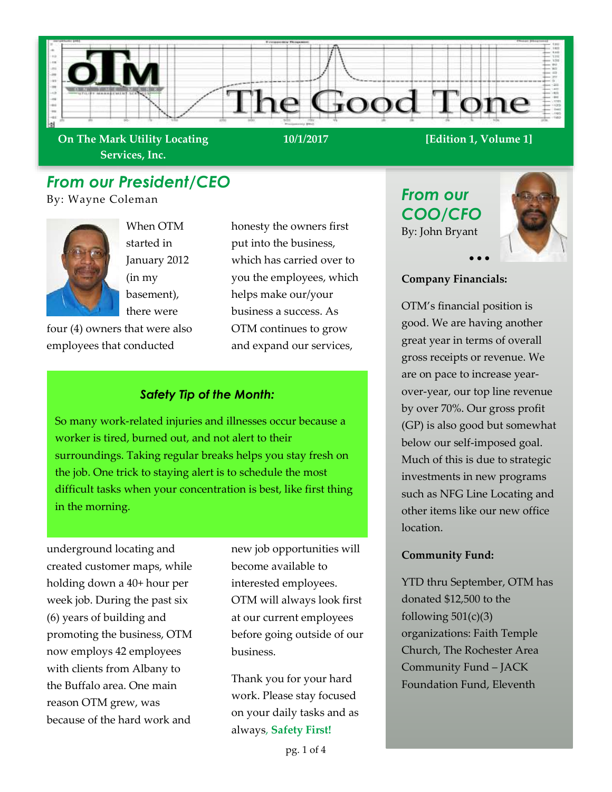

**On The Mark Utility Locating Services, Inc.**

• • •

# *From our President/CEO*

By: Wayne Coleman



When OTM started in January 2012 (in my basement), there were

four (4) owners that were also employees that conducted

honesty the owners first put into the business, which has carried over to you the employees, which helps make our/your business a success. As OTM continues to grow and expand our services,

## *Safety Tip of the Month:*

So many work-related injuries and illnesses occur because a worker is tired, burned out, and not alert to their surroundings. Taking regular breaks helps you stay fresh on the job. One trick to staying alert is to schedule the most difficult tasks when your concentration is best, like first thing in the morning.

underground locating and created customer maps, while holding down a 40+ hour per week job. During the past six (6) years of building and promoting the business, OTM now employs 42 employees with clients from Albany to the Buffalo area. One main reason OTM grew, was because of the hard work and

new job opportunities will become available to interested employees. OTM will always look first at our current employees before going outside of our business.

Thank you for your hard work. Please stay focused on your daily tasks and as always, **Safety First!**

*From our COO/CFO* By: John Bryant



#### **Company Financials:**

OTM's financial position is good. We are having another great year in terms of overall gross receipts or revenue. We are on pace to increase yearover-year, our top line revenue by over 70%. Our gross profit (GP) is also good but somewhat below our self-imposed goal. Much of this is due to strategic investments in new programs such as NFG Line Locating and other items like our new office location.

#### **Community Fund:**

YTD thru September, OTM has donated \$12,500 to the following  $501(c)(3)$ organizations: Faith Temple Church, The Rochester Area Community Fund – JACK Foundation Fund, Eleventh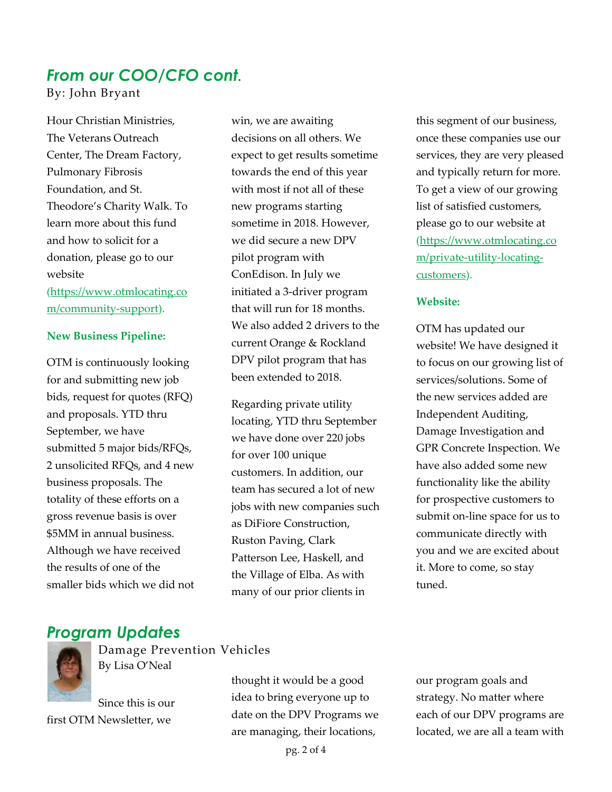# *From our COO/CFO cont.*

By: John Bryant

Hour Christian Ministries, The Veterans Outreach Center, The Dream Factory, Pulmonary Fibrosis Foundation, and St. Theodore's Charity Walk. To learn more about this fund and how to solicit for a donation, please go to our website

[\(https://www.otmlocating.co](https://www.otmlocating.com/community-support) [m/community-support\)](https://www.otmlocating.com/community-support).

#### **New Business Pipeline:**

OTM is continuously looking for and submitting new job bids, request for quotes (RFQ) and proposals. YTD thru September, we have submitted 5 major bids/RFQs, 2 unsolicited RFQs, and 4 new business proposals. The totality of these efforts on a gross revenue basis is over \$5MM in annual business. Although we have received the results of one of the smaller bids which we did not

win, we are awaiting decisions on all others. We expect to get results sometime towards the end of this year with most if not all of these new programs starting sometime in 2018. However, we did secure a new DPV pilot program with ConEdison. In July we initiated a 3-driver program that will run for 18 months. We also added 2 drivers to the current Orange & Rockland DPV pilot program that has been extended to 2018.

Regarding private utility locating, YTD thru September we have done over 220 jobs for over 100 unique customers. In addition, our team has secured a lot of new jobs with new companies such as DiFiore Construction, Ruston Paving, Clark Patterson Lee, Haskell, and the Village of Elba. As with many of our prior clients in

this segment of our business, once these companies use our services, they are very pleased and typically return for more. To get a view of our growing list of satisfied customers, please go to our website at [\(https://www.otmlocating.co](https://www.otmlocating.com/private-utility-locating-customers) [m/private-utility-locating](https://www.otmlocating.com/private-utility-locating-customers)[customers\)](https://www.otmlocating.com/private-utility-locating-customers).

#### **Website:**

OTM has updated our website! We have designed it to focus on our growing list of services/solutions. Some of the new services added are Independent Auditing, Damage Investigation and GPR Concrete Inspection. We have also added some new functionality like the ability for prospective customers to submit on-line space for us to communicate directly with you and we are excited about it. More to come, so stay tuned.

# *Program Updates*



Damage Prevention Vehicles By Lisa O'Neal

Since this is our first OTM Newsletter, we

thought it would be a good idea to bring everyone up to date on the DPV Programs we are managing, their locations,

our program goals and strategy. No matter where each of our DPV programs are located, we are all a team with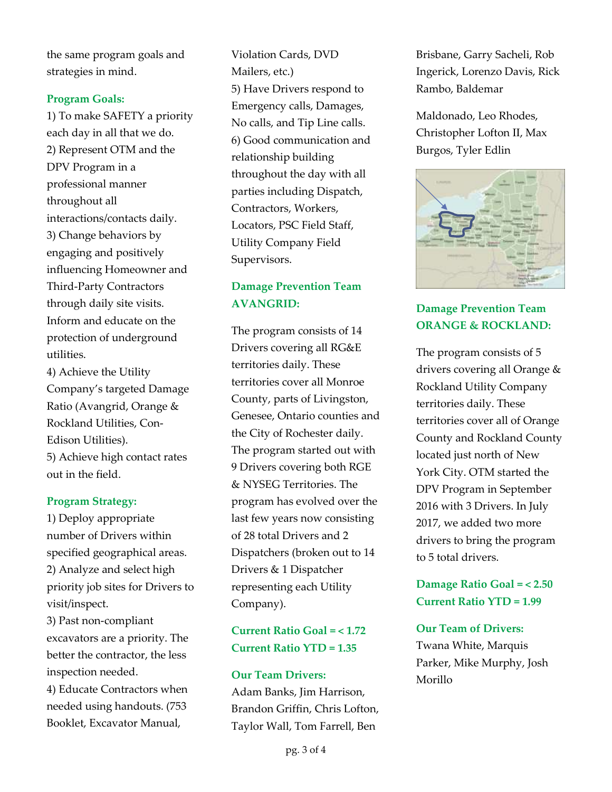the same program goals and strategies in mind.

#### **Program Goals:**

1) To make SAFETY a priority each day in all that we do. 2) Represent OTM and the DPV Program in a professional manner throughout all interactions/contacts daily. 3) Change behaviors by engaging and positively influencing Homeowner and Third-Party Contractors through daily site visits. Inform and educate on the protection of underground utilities.

4) Achieve the Utility Company's targeted Damage Ratio (Avangrid, Orange & Rockland Utilities, Con-Edison Utilities). 5) Achieve high contact rates out in the field.

#### **Program Strategy:**

1) Deploy appropriate number of Drivers within specified geographical areas. 2) Analyze and select high priority job sites for Drivers to visit/inspect.

3) Past non-compliant excavators are a priority. The better the contractor, the less inspection needed.

4) Educate Contractors when needed using handouts. (753 Booklet, Excavator Manual,

Violation Cards, DVD Mailers, etc.) 5) Have Drivers respond to Emergency calls, Damages, No calls, and Tip Line calls. 6) Good communication and relationship building throughout the day with all parties including Dispatch, Contractors, Workers, Locators, PSC Field Staff, Utility Company Field Supervisors.

## **Damage Prevention Team AVANGRID:**

The program consists of 14 Drivers covering all RG&E territories daily. These territories cover all Monroe County, parts of Livingston, Genesee, Ontario counties and the City of Rochester daily. The program started out with 9 Drivers covering both RGE & NYSEG Territories. The program has evolved over the last few years now consisting of 28 total Drivers and 2 Dispatchers (broken out to 14 Drivers & 1 Dispatcher representing each Utility Company).

**Current Ratio Goal = < 1.72 Current Ratio YTD = 1.35**

#### **Our Team Drivers:**

Adam Banks, Jim Harrison, Brandon Griffin, Chris Lofton, Taylor Wall, Tom Farrell, Ben

Brisbane, Garry Sacheli, Rob Ingerick, Lorenzo Davis, Rick Rambo, Baldemar

Maldonado, Leo Rhodes, Christopher Lofton II, Max Burgos, Tyler Edlin



# **Damage Prevention Team ORANGE & ROCKLAND:**

The program consists of 5 drivers covering all Orange & Rockland Utility Company territories daily. These territories cover all of Orange County and Rockland County located just north of New York City. OTM started the DPV Program in September 2016 with 3 Drivers. In July 2017, we added two more drivers to bring the program to 5 total drivers.

# **Damage Ratio Goal = < 2.50 Current Ratio YTD = 1.99**

#### **Our Team of Drivers:**

Twana White, Marquis Parker, Mike Murphy, Josh Morillo